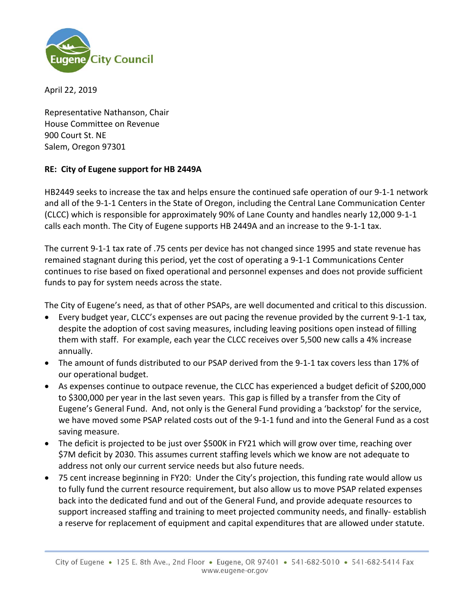

April 22, 2019

Representative Nathanson, Chair House Committee on Revenue 900 Court St. NE Salem, Oregon 97301

## **RE: City of Eugene support for HB 2449A**

HB2449 seeks to increase the tax and helps ensure the continued safe operation of our 9‐1‐1 network and all of the 9-1-1 Centers in the State of Oregon, including the Central Lane Communication Center (CLCC) which is responsible for approximately 90% of Lane County and handles nearly 12,000 9‐1‐1 calls each month. The City of Eugene supports HB 2449A and an increase to the 9‐1‐1 tax.

The current 9‐1‐1 tax rate of .75 cents per device has not changed since 1995 and state revenue has remained stagnant during this period, yet the cost of operating a 9‐1‐1 Communications Center continues to rise based on fixed operational and personnel expenses and does not provide sufficient funds to pay for system needs across the state.

The City of Eugene's need, as that of other PSAPs, are well documented and critical to this discussion.

- Every budget year, CLCC's expenses are out pacing the revenue provided by the current 9‐1‐1 tax, despite the adoption of cost saving measures, including leaving positions open instead of filling them with staff. For example, each year the CLCC receives over 5,500 new calls a 4% increase annually.
- The amount of funds distributed to our PSAP derived from the 9‐1‐1 tax covers less than 17% of our operational budget.
- As expenses continue to outpace revenue, the CLCC has experienced a budget deficit of \$200,000 to \$300,000 per year in the last seven years. This gap is filled by a transfer from the City of Eugene's General Fund. And, not only is the General Fund providing a 'backstop' for the service, we have moved some PSAP related costs out of the 9-1-1 fund and into the General Fund as a cost saving measure.
- The deficit is projected to be just over \$500K in FY21 which will grow over time, reaching over \$7M deficit by 2030. This assumes current staffing levels which we know are not adequate to address not only our current service needs but also future needs.
- 75 cent increase beginning in FY20: Under the City's projection, this funding rate would allow us to fully fund the current resource requirement, but also allow us to move PSAP related expenses back into the dedicated fund and out of the General Fund, and provide adequate resources to support increased staffing and training to meet projected community needs, and finally-establish a reserve for replacement of equipment and capital expenditures that are allowed under statute.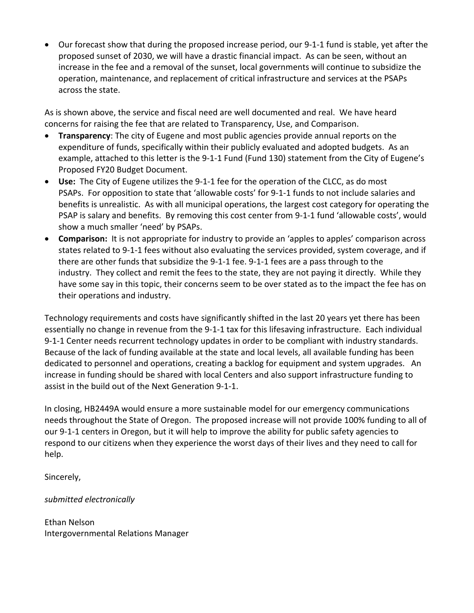Our forecast show that during the proposed increase period, our 9‐1‐1 fund is stable, yet after the proposed sunset of 2030, we will have a drastic financial impact. As can be seen, without an increase in the fee and a removal of the sunset, local governments will continue to subsidize the operation, maintenance, and replacement of critical infrastructure and services at the PSAPs across the state.

As is shown above, the service and fiscal need are well documented and real. We have heard concerns for raising the fee that are related to Transparency, Use, and Comparison.

- **Transparency**: The city of Eugene and most public agencies provide annual reports on the expenditure of funds, specifically within their publicly evaluated and adopted budgets. As an example, attached to this letter is the 9-1-1 Fund (Fund 130) statement from the City of Eugene's Proposed FY20 Budget Document.
- **Use:** The City of Eugene utilizes the 9‐1‐1 fee for the operation of the CLCC, as do most PSAPs. For opposition to state that 'allowable costs' for 9‐1‐1 funds to not include salaries and benefits is unrealistic. As with all municipal operations, the largest cost category for operating the PSAP is salary and benefits. By removing this cost center from 9‐1‐1 fund 'allowable costs', would show a much smaller 'need' by PSAPs.
- **Comparison:** It is not appropriate for industry to provide an 'apples to apples' comparison across states related to 9‐1‐1 fees without also evaluating the services provided, system coverage, and if there are other funds that subsidize the 9‐1‐1 fee. 9‐1‐1 fees are a pass through to the industry. They collect and remit the fees to the state, they are not paying it directly. While they have some say in this topic, their concerns seem to be over stated as to the impact the fee has on their operations and industry.

Technology requirements and costs have significantly shifted in the last 20 years yet there has been essentially no change in revenue from the 9‐1‐1 tax for this lifesaving infrastructure. Each individual 9-1-1 Center needs recurrent technology updates in order to be compliant with industry standards. Because of the lack of funding available at the state and local levels, all available funding has been dedicated to personnel and operations, creating a backlog for equipment and system upgrades. An increase in funding should be shared with local Centers and also support infrastructure funding to assist in the build out of the Next Generation 9‐1‐1.

In closing, HB2449A would ensure a more sustainable model for our emergency communications needs throughout the State of Oregon. The proposed increase will not provide 100% funding to all of our 9‐1‐1 centers in Oregon, but it will help to improve the ability for public safety agencies to respond to our citizens when they experience the worst days of their lives and they need to call for help.

Sincerely,

*submitted electronically* 

Ethan Nelson Intergovernmental Relations Manager